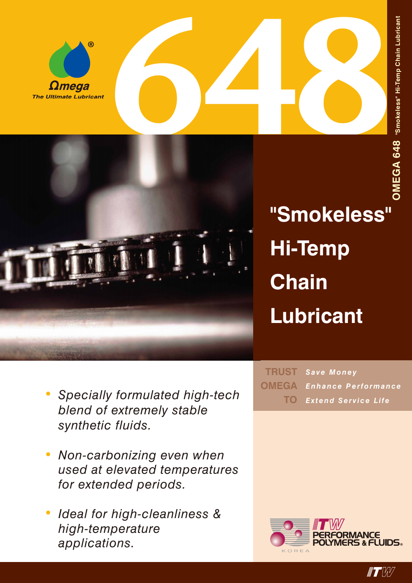



**"Smokeless" Hi-Temp Chain Lubricant**

- *• Specially formulated high-tech blend of extremely stable synthetic fluids.*
- *• Non-carbonizing even when used at elevated temperatures for extended periods.*
- *• Ideal for high-cleanliness & high-temperature applications.*

*Save Money Enhance Performance Extend Service Life* **TRUST OMEGA TO**



 $\blacksquare$